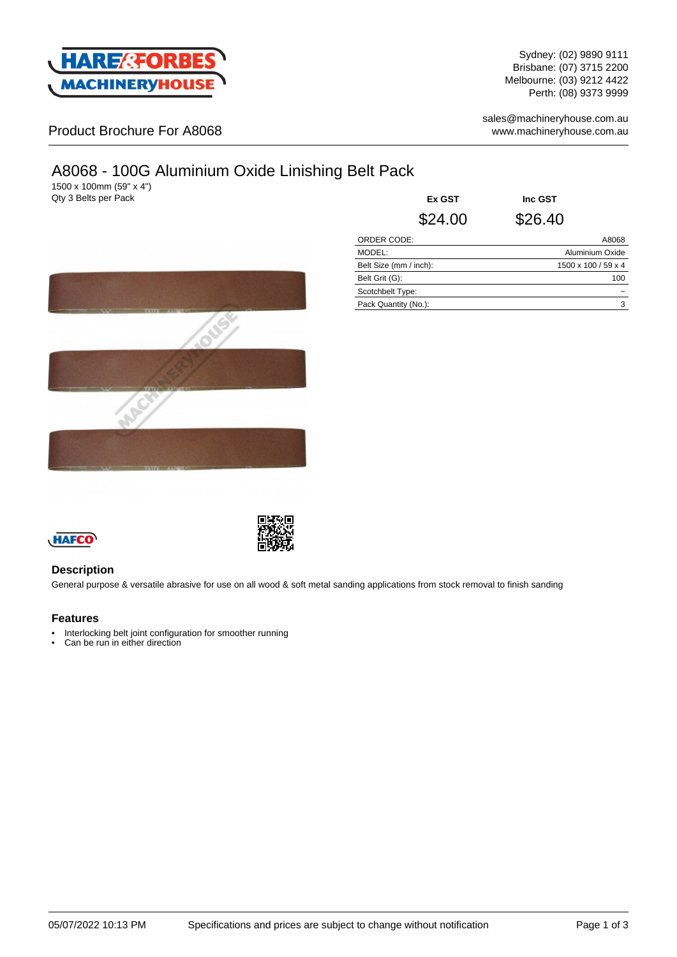

Sydney: (02) 9890 9111 Brisbane: (07) 3715 2200 Melbourne: (03) 9212 4422 Perth: (08) 9373 9999

Product Brochure For A8068

sales@machineryhouse.com.au www.machineryhouse.com.au

# A8068 - 100G Aluminium Oxide Linishing Belt Pack

1500 x 100mm (59" x 4") **Qty 3 Belts per Pack** 

| Ex GST                 |         | Inc GST |                     |  |
|------------------------|---------|---------|---------------------|--|
|                        | \$24.00 | \$26.40 |                     |  |
| <b>ORDER CODE:</b>     |         |         | A8068               |  |
| MODEL:                 |         |         | Aluminium Oxide     |  |
| Belt Size (mm / inch): |         |         | 1500 x 100 / 59 x 4 |  |
| Belt Grit (G):         |         |         | 100                 |  |
| Scotchbelt Type:       |         |         |                     |  |
| Pack Quantity (No.):   |         |         | 3                   |  |
|                        |         |         |                     |  |





## **Description**

General purpose & versatile abrasive for use on all wood & soft metal sanding applications from stock removal to finish sanding

### **Features**

- Interlocking belt joint configuration for smoother running
- Can be run in either direction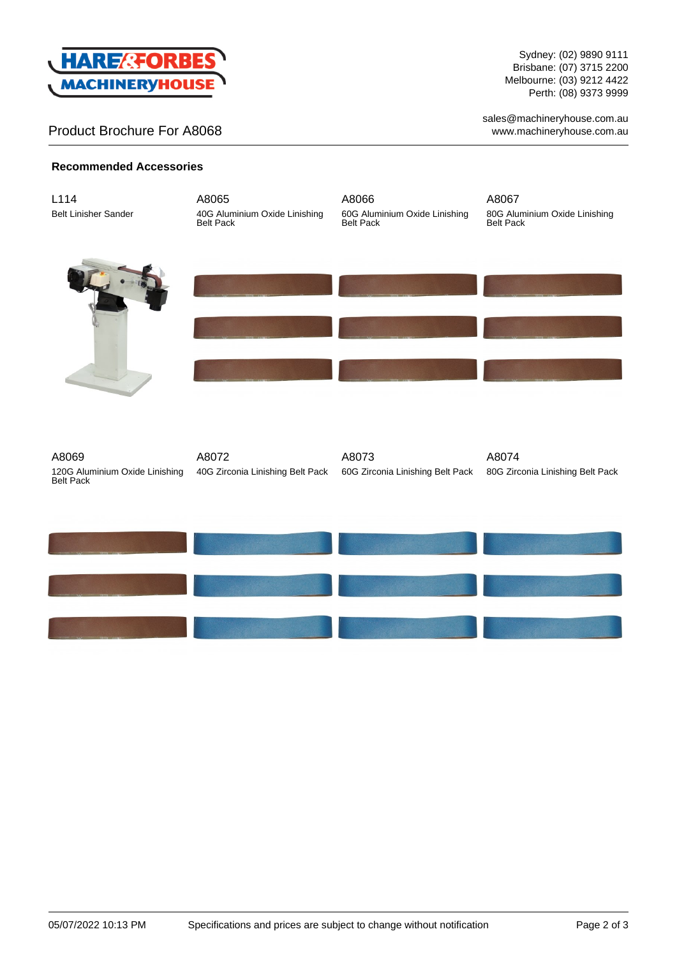

## Product Brochure For A8068

Sydney: (02) 9890 9111 Brisbane: (07) 3715 2200 Melbourne: (03) 9212 4422 Perth: (08) 9373 9999

sales@machineryhouse.com.au www.machineryhouse.com.au

## **Recommended Accessories**

| L114<br><b>Belt Linisher Sander</b>                         | A8065<br>40G Aluminium Oxide Linishing<br>Belt Pack | A8066<br>60G Aluminium Oxide Linishing<br>Belt Pack | A8067<br>80G Aluminium Oxide Linishing<br>Belt Pack |
|-------------------------------------------------------------|-----------------------------------------------------|-----------------------------------------------------|-----------------------------------------------------|
|                                                             |                                                     |                                                     |                                                     |
|                                                             |                                                     |                                                     |                                                     |
| A8069<br>120G Aluminium Oxide Linishing<br><b>Belt Pack</b> | A8072<br>40G Zirconia Linishing Belt Pack           | A8073<br>60G Zirconia Linishing Belt Pack           | A8074<br>80G Zirconia Linishing Belt Pack           |
|                                                             |                                                     |                                                     |                                                     |